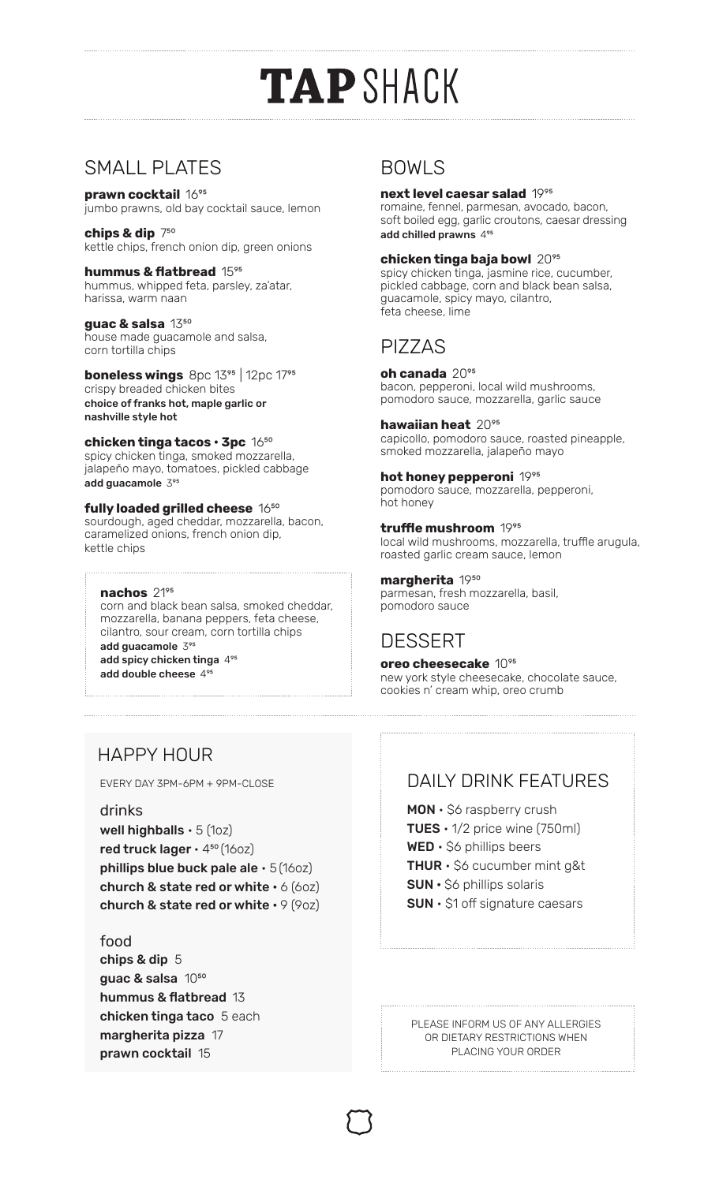# **TAPSHACK**

## SMALL PLATES

**prawn cocktail** 1695 jumbo prawns, old bay cocktail sauce, lemon

**chips & dip** 750 kettle chips, french onion dip, green onions

**hummus & flatbread** 1595 hummus, whipped feta, parsley, za'atar, harissa, warm naan

guac & salsa 13<sup>50</sup> house made guacamole and salsa, corn tortilla chips

**boneless wings** 8pc 13<sup>95</sup> | 12pc 1795 crispy breaded chicken bites choice of franks hot, maple garlic or nashville style hot

**chicken tinga tacos · 3pc** 1650 spicy chicken tinga, smoked mozzarella, jalapeño mayo, tomatoes, pickled cabbage add guacamole395

#### **fully loaded grilled cheese** 16<sup>50</sup>

sourdough, aged cheddar, mozzarella, bacon, caramelized onions, french onion dip, kettle chips

**nachos** 2195

corn and black bean salsa, smoked cheddar, mozzarella, banana peppers, feta cheese, cilantro, sour cream, corn tortilla chips add guacamole  $3^{95}$ add spicy chicken tinga 4<sup>95</sup> add double cheese495

## BOWLS

#### **next level caesar salad 1995**

romaine, fennel, parmesan, avocado, bacon, soft boiled egg, garlic croutons, caesar dressing add chilled prawns495

### **chicken tinga baja bowl** 2095

spicy chicken tinga, jasmine rice, cucumber, pickled cabbage, corn and black bean salsa, guacamole, spicy mayo, cilantro, feta cheese, lime

## PIZZAS

**oh canada** 2095 bacon, pepperoni, local wild mushrooms, pomodoro sauce, mozzarella, garlic sauce

**hawaiian heat** 2095 capicollo, pomodoro sauce, roasted pineapple, smoked mozzarella, jalapeño mayo

**hot honey pepperoni** 1995 pomodoro sauce, mozzarella, pepperoni, hot honey

truffle mushroom 1995 local wild mushrooms, mozzarella, truffle arugula, roasted garlic cream sauce, lemon

**margherita** 1950 parmesan, fresh mozzarella, basil, pomodoro sauce

## DESSERT

**oreo cheesecake** 10°<sup>5</sup> new york style cheesecake, chocolate sauce, cookies n' cream whip, oreo crumb

## HAPPY HOUR

#### drinks

well highballs  $\cdot$  5 (10z) red truck lager  $\cdot$  4<sup>50</sup> (160z) phillips blue buck pale ale  $\cdot$  5 (160z) church & state red or white  $\cdot$  6 (60z) church & state red or white  $\cdot$  9 (9oz)

## food

chips & dip 5 guac & salsa  $10^{50}$ hummus & flatbread 13 chicken tinga taco 5 each margherita pizza 17 prawn cocktail 15

## EVERY DAY 3PM-6PM + 9PM-CLOSE DAILY DAILY DRINK FEATURES

MON • \$6 raspberry crush TUES  $\cdot$  1/2 price wine (750ml)  $WED \cdot \$ 6 phillips beers **THUR**  $\cdot$  \$6 cucumber mint g&t SUN • \$6 phillips solaris SUN • \$1 off signature caesars

PLEASE INFORM US OF ANY ALLERGIES OR DIETARY RESTRICTIONS WHEN PLACING YOUR ORDER